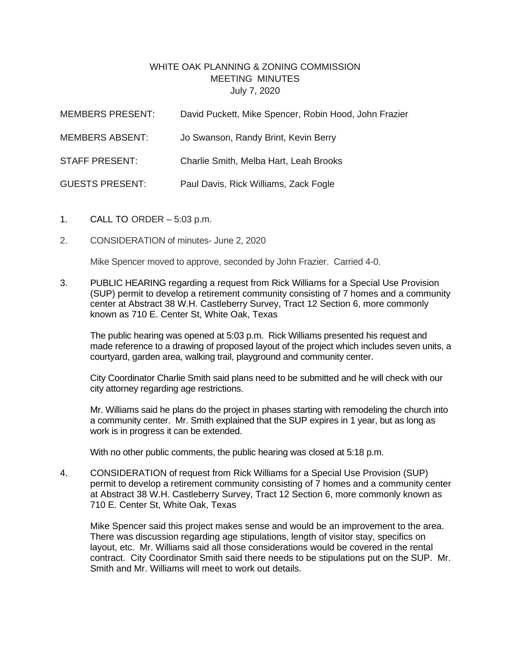## WHITE OAK PLANNING & ZONING COMMISSION MEETING MINUTES July 7, 2020

| MEMBERS PRESENT:       | David Puckett, Mike Spencer, Robin Hood, John Frazier |
|------------------------|-------------------------------------------------------|
| <b>MEMBERS ABSENT:</b> | Jo Swanson, Randy Brint, Kevin Berry                  |
| <b>STAFF PRESENT:</b>  | Charlie Smith, Melba Hart, Leah Brooks                |
| <b>GUESTS PRESENT:</b> | Paul Davis, Rick Williams, Zack Fogle                 |

- 1. CALL TO ORDER 5:03 p.m.
- 2. CONSIDERATION of minutes- June 2, 2020

Mike Spencer moved to approve, seconded by John Frazier. Carried 4-0.

3. PUBLIC HEARING regarding a request from Rick Williams for a Special Use Provision (SUP) permit to develop a retirement community consisting of 7 homes and a community center at Abstract 38 W.H. Castleberry Survey, Tract 12 Section 6, more commonly known as 710 E. Center St, White Oak, Texas

The public hearing was opened at 5:03 p.m. Rick Williams presented his request and made reference to a drawing of proposed layout of the project which includes seven units, a courtyard, garden area, walking trail, playground and community center.

City Coordinator Charlie Smith said plans need to be submitted and he will check with our city attorney regarding age restrictions.

Mr. Williams said he plans do the project in phases starting with remodeling the church into a community center. Mr. Smith explained that the SUP expires in 1 year, but as long as work is in progress it can be extended.

With no other public comments, the public hearing was closed at 5:18 p.m.

4. CONSIDERATION of request from Rick Williams for a Special Use Provision (SUP) permit to develop a retirement community consisting of 7 homes and a community center at Abstract 38 W.H. Castleberry Survey, Tract 12 Section 6, more commonly known as 710 E. Center St, White Oak, Texas

Mike Spencer said this project makes sense and would be an improvement to the area. There was discussion regarding age stipulations, length of visitor stay, specifics on layout, etc. Mr. Williams said all those considerations would be covered in the rental contract. City Coordinator Smith said there needs to be stipulations put on the SUP. Mr. Smith and Mr. Williams will meet to work out details.